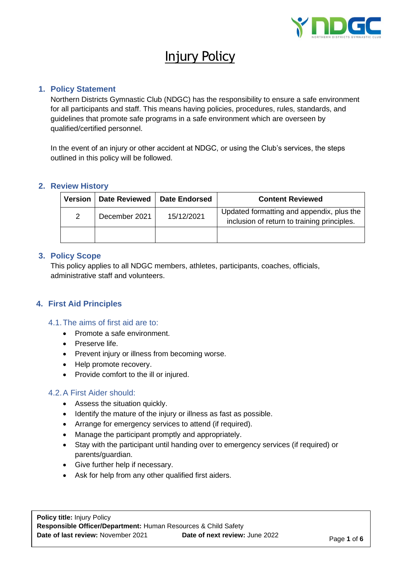

# Injury Policy

## **1. Policy Statement**

Northern Districts Gymnastic Club (NDGC) has the responsibility to ensure a safe environment for all participants and staff. This means having policies, procedures, rules, standards, and guidelines that promote safe programs in a safe environment which are overseen by qualified/certified personnel.

In the event of an injury or other accident at NDGC, or using the Club's services, the steps outlined in this policy will be followed.

#### **2. Review History**

| <b>Version</b> | <b>Date Reviewed</b> | <b>Date Endorsed</b> | <b>Content Reviewed</b>                                                                  |
|----------------|----------------------|----------------------|------------------------------------------------------------------------------------------|
| 2              | December 2021        | 15/12/2021           | Updated formatting and appendix, plus the<br>inclusion of return to training principles. |
|                |                      |                      |                                                                                          |

## **3. Policy Scope**

This policy applies to all NDGC members, athletes, participants, coaches, officials, administrative staff and volunteers.

## **4. First Aid Principles**

- 4.1.The aims of first aid are to:
	- Promote a safe environment.
	- Preserve life.
	- Prevent injury or illness from becoming worse.
	- Help promote recovery.
	- Provide comfort to the ill or injured.

## 4.2.A First Aider should:

- Assess the situation quickly.
- Identify the mature of the injury or illness as fast as possible.
- Arrange for emergency services to attend (if required).
- Manage the participant promptly and appropriately.
- Stay with the participant until handing over to emergency services (if required) or parents/guardian.
- Give further help if necessary.
- Ask for help from any other qualified first aiders.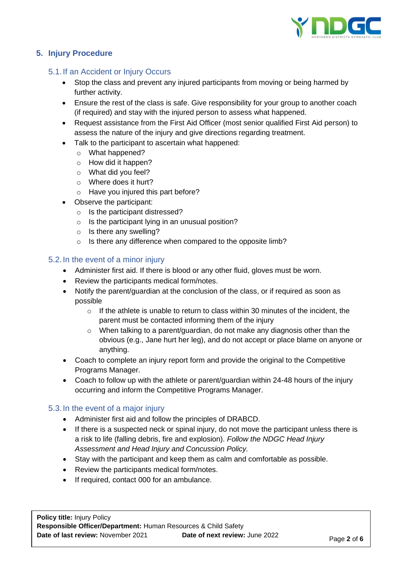

# **5. Injury Procedure**

## 5.1.If an Accident or Injury Occurs

- Stop the class and prevent any injured participants from moving or being harmed by further activity.
- Ensure the rest of the class is safe. Give responsibility for your group to another coach (if required) and stay with the injured person to assess what happened.
- Request assistance from the First Aid Officer (most senior qualified First Aid person) to assess the nature of the injury and give directions regarding treatment.
- Talk to the participant to ascertain what happened:
	- o What happened?
	- o How did it happen?
	- o What did you feel?
	- o Where does it hurt?
	- o Have you injured this part before?
- Observe the participant:
	- o Is the participant distressed?
	- $\circ$  Is the participant lying in an unusual position?
	- o Is there any swelling?
	- o Is there any difference when compared to the opposite limb?

### 5.2.In the event of a minor injury

- Administer first aid. If there is blood or any other fluid, gloves must be worn.
- Review the participants medical form/notes.
- Notify the parent/guardian at the conclusion of the class, or if required as soon as possible
	- $\circ$  If the athlete is unable to return to class within 30 minutes of the incident, the parent must be contacted informing them of the injury
	- $\circ$  When talking to a parent/guardian, do not make any diagnosis other than the obvious (e.g., Jane hurt her leg), and do not accept or place blame on anyone or anything.
- Coach to complete an injury report form and provide the original to the Competitive Programs Manager.
- Coach to follow up with the athlete or parent/guardian within 24-48 hours of the injury occurring and inform the Competitive Programs Manager.

## 5.3.In the event of a major injury

- Administer first aid and follow the principles of DRABCD.
- If there is a suspected neck or spinal injury, do not move the participant unless there is a risk to life (falling debris, fire and explosion). *Follow the NDGC Head Injury Assessment and Head Injury and Concussion Policy.*
- Stay with the participant and keep them as calm and comfortable as possible.
- Review the participants medical form/notes.
- If required, contact 000 for an ambulance.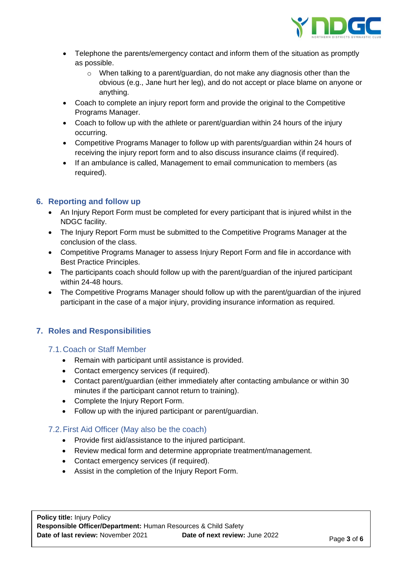

- Telephone the parents/emergency contact and inform them of the situation as promptly as possible.
	- $\circ$  When talking to a parent/guardian, do not make any diagnosis other than the obvious (e.g., Jane hurt her leg), and do not accept or place blame on anyone or anything.
- Coach to complete an injury report form and provide the original to the Competitive Programs Manager.
- Coach to follow up with the athlete or parent/guardian within 24 hours of the injury occurring.
- Competitive Programs Manager to follow up with parents/guardian within 24 hours of receiving the injury report form and to also discuss insurance claims (if required).
- If an ambulance is called, Management to email communication to members (as required).

# **6. Reporting and follow up**

- An Injury Report Form must be completed for every participant that is injured whilst in the NDGC facility.
- The Injury Report Form must be submitted to the Competitive Programs Manager at the conclusion of the class.
- Competitive Programs Manager to assess Injury Report Form and file in accordance with Best Practice Principles.
- The participants coach should follow up with the parent/guardian of the injured participant within 24-48 hours.
- The Competitive Programs Manager should follow up with the parent/guardian of the injured participant in the case of a major injury, providing insurance information as required.

## **7. Roles and Responsibilities**

## 7.1.Coach or Staff Member

- Remain with participant until assistance is provided.
- Contact emergency services (if required).
- Contact parent/guardian (either immediately after contacting ambulance or within 30 minutes if the participant cannot return to training).
- Complete the Injury Report Form.
- Follow up with the injured participant or parent/guardian.

# 7.2.First Aid Officer (May also be the coach)

- Provide first aid/assistance to the injured participant.
- Review medical form and determine appropriate treatment/management.
- Contact emergency services (if required).
- Assist in the completion of the Injury Report Form.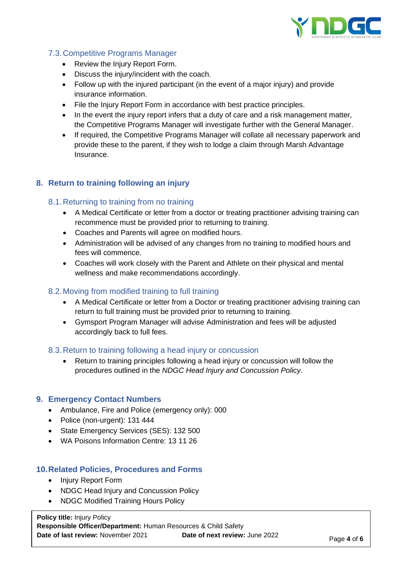

# 7.3.Competitive Programs Manager

- Review the Injury Report Form.
- Discuss the injury/incident with the coach.
- Follow up with the injured participant (in the event of a major injury) and provide insurance information.
- File the Injury Report Form in accordance with best practice principles.
- In the event the injury report infers that a duty of care and a risk management matter, the Competitive Programs Manager will investigate further with the General Manager.
- If required, the Competitive Programs Manager will collate all necessary paperwork and provide these to the parent, if they wish to lodge a claim through Marsh Advantage Insurance.

## **8. Return to training following an injury**

## 8.1.Returning to training from no training

- A Medical Certificate or letter from a doctor or treating practitioner advising training can recommence must be provided prior to returning to training.
- Coaches and Parents will agree on modified hours.
- Administration will be advised of any changes from no training to modified hours and fees will commence.
- Coaches will work closely with the Parent and Athlete on their physical and mental wellness and make recommendations accordingly.

## 8.2.Moving from modified training to full training

- A Medical Certificate or letter from a Doctor or treating practitioner advising training can return to full training must be provided prior to returning to training.
- Gymsport Program Manager will advise Administration and fees will be adjusted accordingly back to full fees.

#### 8.3.Return to training following a head injury or concussion

• Return to training principles following a head injury or concussion will follow the procedures outlined in the *NDGC Head Injury and Concussion Policy.*

#### **9. Emergency Contact Numbers**

- Ambulance, Fire and Police (emergency only): 000
- Police (non-urgent): 131 444
- State Emergency Services (SES): 132 500
- WA Poisons Information Centre: 13 11 26

#### **10.Related Policies, Procedures and Forms**

- Injury Report Form
- NDGC Head Injury and Concussion Policy
- NDGC Modified Training Hours Policy

**Policy title:** Injury Policy **Responsible Officer/Department:** Human Resources & Child Safety **Date of last review:** November 2021 **Date of next review:** June 2022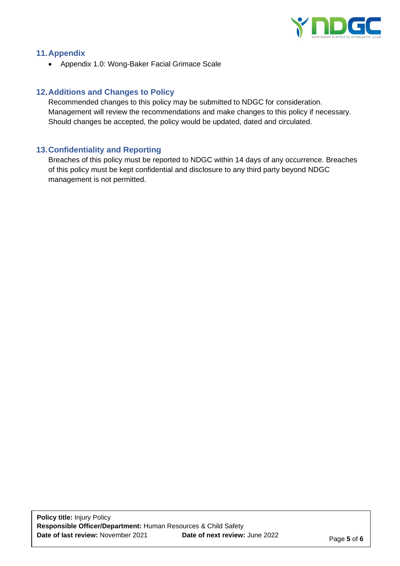

## **11.Appendix**

• Appendix 1.0: Wong-Baker Facial Grimace Scale

## **12.Additions and Changes to Policy**

Recommended changes to this policy may be submitted to NDGC for consideration. Management will review the recommendations and make changes to this policy if necessary. Should changes be accepted, the policy would be updated, dated and circulated.

### **13.Confidentiality and Reporting**

Breaches of this policy must be reported to NDGC within 14 days of any occurrence. Breaches of this policy must be kept confidential and disclosure to any third party beyond NDGC management is not permitted.